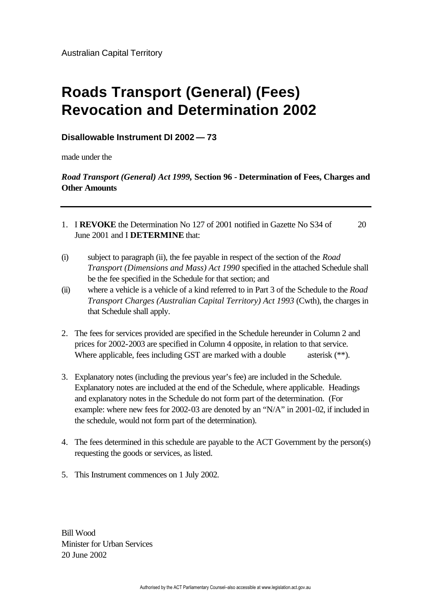## **Roads Transport (General) (Fees) Revocation and Determination 2002**

## **Disallowable Instrument DI 2002 — 73**

made under the

## *Road Transport (General) Act 1999,* **Section 96 - Determination of Fees, Charges and Other Amounts**

- 1. I **REVOKE** the Determination No 127 of 2001 notified in Gazette No S34 of 20 June 2001 and I **DETERMINE** that:
- (i) subject to paragraph (ii), the fee payable in respect of the section of the *Road Transport (Dimensions and Mass) Act 1990* specified in the attached Schedule shall be the fee specified in the Schedule for that section; and
- (ii) where a vehicle is a vehicle of a kind referred to in Part 3 of the Schedule to the *Road Transport Charges (Australian Capital Territory) Act 1993* (Cwth), the charges in that Schedule shall apply.
- 2. The fees for services provided are specified in the Schedule hereunder in Column 2 and prices for 2002-2003 are specified in Column 4 opposite, in relation to that service. Where applicable, fees including GST are marked with a double asterisk (\*\*).
- 3. Explanatory notes (including the previous year's fee) are included in the Schedule. Explanatory notes are included at the end of the Schedule, where applicable. Headings and explanatory notes in the Schedule do not form part of the determination. (For example: where new fees for 2002-03 are denoted by an "N/A" in 2001-02, if included in the schedule, would not form part of the determination).
- 4. The fees determined in this schedule are payable to the ACT Government by the person(s) requesting the goods or services, as listed.
- 5. This Instrument commences on 1 July 2002.

Bill Wood Minister for Urban Services 20 June 2002